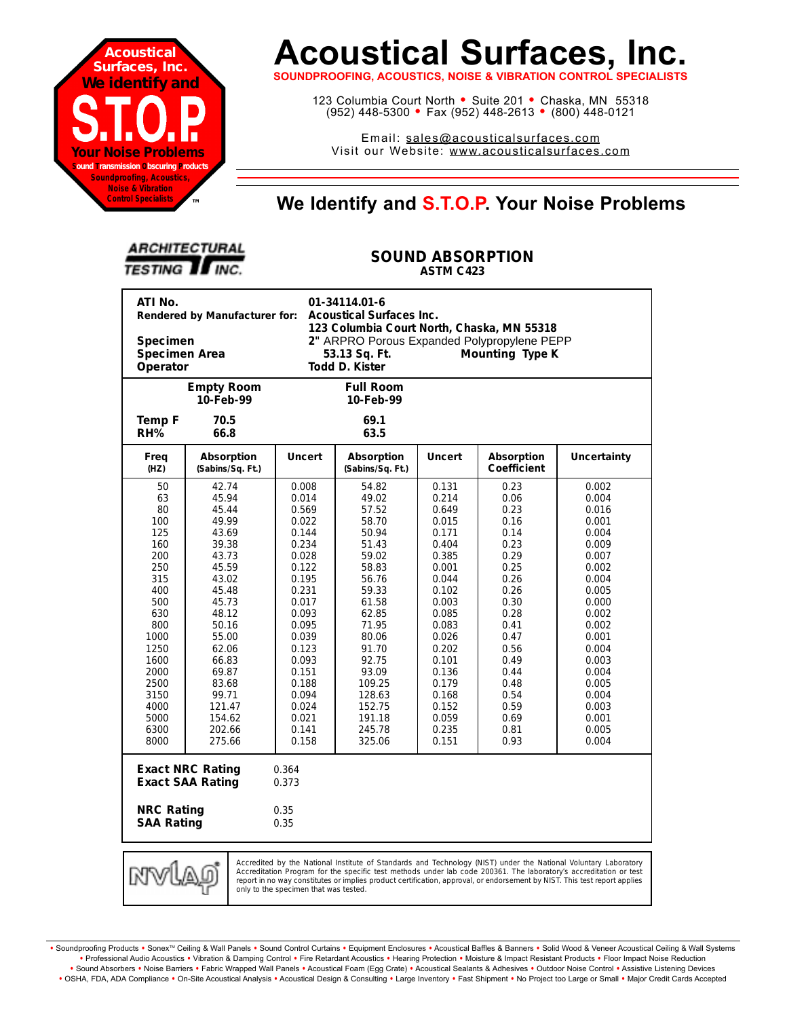

# **Acoustical Surfaces, Inc.**

**SOUNDPROOFING, ACOUSTICS, NOISE & VIBRATION CONTROL SPECIALISTS**

123 Columbia Court North · Suite 201 · Chaska, MN 55318 (952) 448-5300 <sup>=</sup> Fax (952) 448-2613 <sup>=</sup> (800) 448-0121

Email: sales@acousticalsurfaces.com Visit our Website: www.acousticalsurfaces.com

## **™ We Identify and S.T.O.P. Your Noise Problems**

| <b>ARCHITECTURAL</b>   |  |
|------------------------|--|
| <b>TESTING II INC.</b> |  |

#### **SOUND ABSORPTION ASTM C423**

| ATI No.<br>01-34114.01-6<br>Rendered by Manufacturer for:<br><b>Acoustical Surfaces Inc.</b><br>123 Columbia Court North, Chaska, MN 55318<br>2" ARPRO Porous Expanded Polypropylene PEPP<br><b>Specimen</b><br>Specimen Area<br><b>Mounting Type K</b><br>53.13 Sq. Ft.<br>Operator<br>Todd D. Kister                                                                         |                                                                                                                                                                                                                 |                                                                                                                                                                                                             |                                                                                                                                                                                                                   |                                                                                                                                                                                                             |                                                                                                                                                                                      |                                                                                                                                                                                                             |  |
|--------------------------------------------------------------------------------------------------------------------------------------------------------------------------------------------------------------------------------------------------------------------------------------------------------------------------------------------------------------------------------|-----------------------------------------------------------------------------------------------------------------------------------------------------------------------------------------------------------------|-------------------------------------------------------------------------------------------------------------------------------------------------------------------------------------------------------------|-------------------------------------------------------------------------------------------------------------------------------------------------------------------------------------------------------------------|-------------------------------------------------------------------------------------------------------------------------------------------------------------------------------------------------------------|--------------------------------------------------------------------------------------------------------------------------------------------------------------------------------------|-------------------------------------------------------------------------------------------------------------------------------------------------------------------------------------------------------------|--|
|                                                                                                                                                                                                                                                                                                                                                                                | <b>Empty Room</b><br>10-Feb-99                                                                                                                                                                                  |                                                                                                                                                                                                             | <b>Full Room</b><br>10-Feb-99                                                                                                                                                                                     |                                                                                                                                                                                                             |                                                                                                                                                                                      |                                                                                                                                                                                                             |  |
| Temp F<br>RH%                                                                                                                                                                                                                                                                                                                                                                  | 70.5<br>66.8                                                                                                                                                                                                    |                                                                                                                                                                                                             | 69.1<br>63.5                                                                                                                                                                                                      |                                                                                                                                                                                                             |                                                                                                                                                                                      |                                                                                                                                                                                                             |  |
| Freq<br>(HZ)                                                                                                                                                                                                                                                                                                                                                                   | Absorption<br>(Sabins/Sq. Ft.)                                                                                                                                                                                  | <b>Uncert</b>                                                                                                                                                                                               | Absorption<br>(Sabins/Sq. Ft.)                                                                                                                                                                                    | <b>Uncert</b>                                                                                                                                                                                               | Absorption<br>Coefficient                                                                                                                                                            | <b>Uncertainty</b>                                                                                                                                                                                          |  |
| 50<br>63<br>80<br>100<br>125<br>160<br>200<br>250<br>315<br>400<br>500<br>630<br>800<br>1000<br>1250<br>1600<br>2000<br>2500<br>3150<br>4000<br>5000<br>6300<br>8000                                                                                                                                                                                                           | 42.74<br>45.94<br>45.44<br>49.99<br>43.69<br>39.38<br>43.73<br>45.59<br>43.02<br>45.48<br>45.73<br>48.12<br>50.16<br>55.00<br>62.06<br>66.83<br>69.87<br>83.68<br>99.71<br>121.47<br>154.62<br>202.66<br>275.66 | 0.008<br>0.014<br>0.569<br>0.022<br>0.144<br>0.234<br>0.028<br>0.122<br>0.195<br>0.231<br>0.017<br>0.093<br>0.095<br>0.039<br>0.123<br>0.093<br>0.151<br>0.188<br>0.094<br>0.024<br>0.021<br>0.141<br>0.158 | 54.82<br>49.02<br>57.52<br>58.70<br>50.94<br>51.43<br>59.02<br>58.83<br>56.76<br>59.33<br>61.58<br>62.85<br>71.95<br>80.06<br>91.70<br>92.75<br>93.09<br>109.25<br>128.63<br>152.75<br>191.18<br>245.78<br>325.06 | 0.131<br>0.214<br>0.649<br>0.015<br>0.171<br>0.404<br>0.385<br>0.001<br>0.044<br>0.102<br>0.003<br>0.085<br>0.083<br>0.026<br>0.202<br>0.101<br>0.136<br>0.179<br>0.168<br>0.152<br>0.059<br>0.235<br>0.151 | 0.23<br>0.06<br>0.23<br>0.16<br>0.14<br>0.23<br>0.29<br>0.25<br>0.26<br>0.26<br>0.30<br>0.28<br>0.41<br>0.47<br>0.56<br>0.49<br>0.44<br>0.48<br>0.54<br>0.59<br>0.69<br>0.81<br>0.93 | 0.002<br>0.004<br>0.016<br>0.001<br>0.004<br>0.009<br>0.007<br>0.002<br>0.004<br>0.005<br>0.000<br>0.002<br>0.002<br>0.001<br>0.004<br>0.003<br>0.004<br>0.005<br>0.004<br>0.003<br>0.001<br>0.005<br>0.004 |  |
| <b>Exact NRC Rating</b><br>0.364<br><b>Exact SAA Rating</b><br>0.373<br><b>NRC Rating</b><br>0.35<br><b>SAA Rating</b><br>0.35                                                                                                                                                                                                                                                 |                                                                                                                                                                                                                 |                                                                                                                                                                                                             |                                                                                                                                                                                                                   |                                                                                                                                                                                                             |                                                                                                                                                                                      |                                                                                                                                                                                                             |  |
| Accredited by the National Institute of Standards and Technology (NIST) under the National Voluntary Laboratory<br>mwil<br>Accreditation Program for the specific test methods under lab code 200361. The laboratory's accreditation or test<br>G<br>report in no way constitutes or implies product certification, approval, or endorsement by NIST. This test report applies |                                                                                                                                                                                                                 |                                                                                                                                                                                                             |                                                                                                                                                                                                                   |                                                                                                                                                                                                             |                                                                                                                                                                                      |                                                                                                                                                                                                             |  |

Soundproofing Products . Sonex<sup>TM</sup> Ceiling & Wall Panels . Sound Control Curtains . Equipment Enclosures . Acoustical Baffles & Banners . Solid Wood & Veneer Acoustical Ceiling & Wall Systems **•** Professional Audio Acoustics **•** Vibration & Damping Control **•** Fire Retardant Acoustics **•** Hearing Protection **•** Moisture & Impact Resistant Products **•** Floor Impact Noise Reduction · Sound Absorbers · Noise Barriers · Fabric Wrapped Wall Panels · Acoustical Foam (Egg Crate) · Acoustical Sealants & Adhesives · Outdoor Noise Control · Assistive Listening Devices . OSHA, FDA, ADA Compliance . On-Site Acoustical Analysis . Acoustical Design & Consulting . Large Inventory . Fast Shipment . No Project too Large or Small . Major Credit Cards Accepted

only to the specimen that was tested.